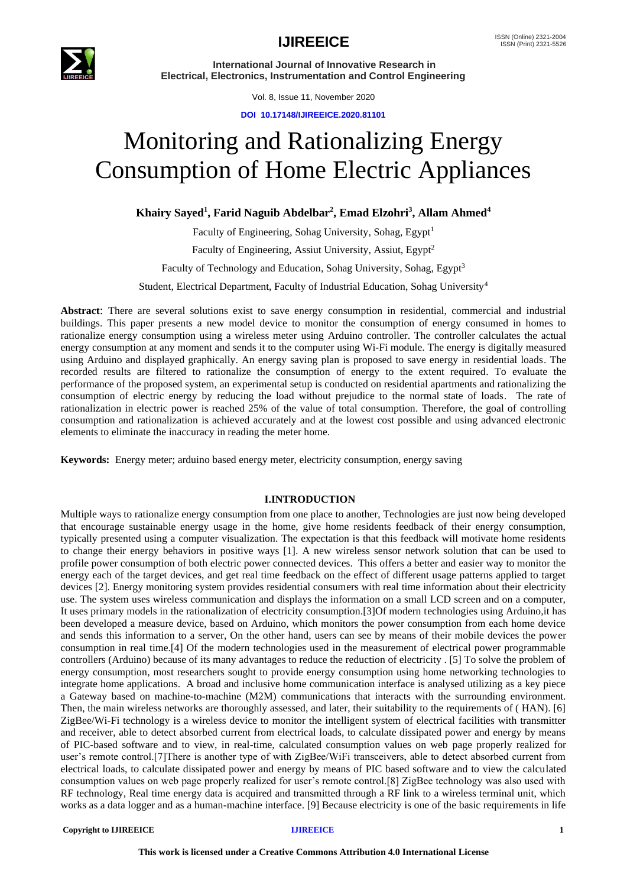

Vol. 8, Issue 11, November 2020

**DOI 10.17148/IJIREEICE.2020.81101**

# Monitoring and Rationalizing Energy Consumption of Home Electric Appliances

## **Khairy Sayed<sup>1</sup> , Farid Naguib Abdelbar<sup>2</sup> , Emad Elzohri<sup>3</sup> , Allam Ahmed<sup>4</sup>**

Faculty of Engineering, Sohag University, Sohag, Egypt<sup>1</sup> Faculty of Engineering, Assiut University, Assiut, Egypt<sup>2</sup> Faculty of Technology and Education, Sohag University, Sohag, Egypt<sup>3</sup> Student, Electrical Department, Faculty of Industrial Education, Sohag University<sup>4</sup>

**Abstract**: There are several solutions exist to save energy consumption in residential, commercial and industrial buildings. This paper presents a new model device to monitor the consumption of energy consumed in homes to rationalize energy consumption using a wireless meter using Arduino controller. The controller calculates the actual energy consumption at any moment and sends it to the computer using Wi-Fi module. The energy is digitally measured using Arduino and displayed graphically. An energy saving plan is proposed to save energy in residential loads. The recorded results are filtered to rationalize the consumption of energy to the extent required. To evaluate the performance of the proposed system, an experimental setup is conducted on residential apartments and rationalizing the consumption of electric energy by reducing the load without prejudice to the normal state of loads. The rate of rationalization in electric power is reached 25% of the value of total consumption. Therefore, the goal of controlling consumption and rationalization is achieved accurately and at the lowest cost possible and using advanced electronic elements to eliminate the inaccuracy in reading the meter home.

**Keywords:** Energy meter; arduino based energy meter, electricity consumption, energy saving

## **I.INTRODUCTION**

Multiple ways to rationalize energy consumption from one place to another, Technologies are just now being developed that encourage sustainable energy usage in the home, give home residents feedback of their energy consumption, typically presented using a computer visualization. The expectation is that this feedback will motivate home residents to change their energy behaviors in positive ways [1]. A new wireless sensor network solution that can be used to profile power consumption of both electric power connected devices. This offers a better and easier way to monitor the energy each of the target devices, and get real time feedback on the effect of different usage patterns applied to target devices [2]. Energy monitoring system provides residential consumers with real time information about their electricity use. The system uses wireless communication and displays the information on a small LCD screen and on a computer, It uses primary models in the rationalization of electricity consumption.[3]Of modern technologies using Arduino,it has been developed a measure device, based on Arduino, which monitors the power consumption from each home device and sends this information to a server, On the other hand, users can see by means of their mobile devices the power consumption in real time.[4] Of the modern technologies used in the measurement of electrical power programmable controllers (Arduino) because of its many advantages to reduce the reduction of electricity . [5] To solve the problem of energy consumption, most researchers sought to provide energy consumption using home networking technologies to integrate home applications. A broad and inclusive home communication interface is analysed utilizing as a key piece a Gateway based on machine-to-machine (M2M) communications that interacts with the surrounding environment. Then, the main wireless networks are thoroughly assessed, and later, their suitability to the requirements of ( HAN). [6] ZigBee/Wi-Fi technology is a wireless device to monitor the intelligent system of electrical facilities with transmitter and receiver, able to detect absorbed current from electrical loads, to calculate dissipated power and energy by means of PIC-based software and to view, in real-time, calculated consumption values on web page properly realized for user's remote control.[7]There is another type of with ZigBee/WiFi transceivers, able to detect absorbed current from electrical loads, to calculate dissipated power and energy by means of PIC based software and to view the calculated consumption values on web page properly realized for user's remote control.[8] ZigBee technology was also used with RF technology, Real time energy data is acquired and transmitted through a RF link to a wireless terminal unit, which works as a data logger and as a human-machine interface. [9] Because electricity is one of the basic requirements in life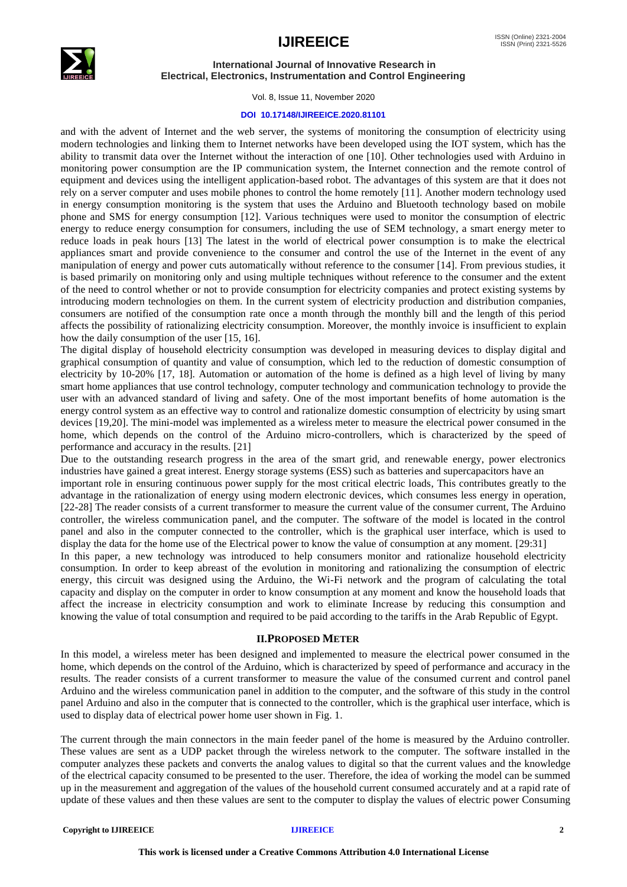



Vol. 8, Issue 11, November 2020

## **DOI 10.17148/IJIREEICE.2020.81101**

and with the advent of Internet and the web server, the systems of monitoring the consumption of electricity using modern technologies and linking them to Internet networks have been developed using the IOT system, which has the ability to transmit data over the Internet without the interaction of one [10]. Other technologies used with Arduino in monitoring power consumption are the IP communication system, the Internet connection and the remote control of equipment and devices using the intelligent application-based robot. The advantages of this system are that it does not rely on a server computer and uses mobile phones to control the home remotely [11]. Another modern technology used in energy consumption monitoring is the system that uses the Arduino and Bluetooth technology based on mobile phone and SMS for energy consumption [12]. Various techniques were used to monitor the consumption of electric energy to reduce energy consumption for consumers, including the use of SEM technology, a smart energy meter to reduce loads in peak hours [13] The latest in the world of electrical power consumption is to make the electrical appliances smart and provide convenience to the consumer and control the use of the Internet in the event of any manipulation of energy and power cuts automatically without reference to the consumer [14]. From previous studies, it is based primarily on monitoring only and using multiple techniques without reference to the consumer and the extent of the need to control whether or not to provide consumption for electricity companies and protect existing systems by introducing modern technologies on them. In the current system of electricity production and distribution companies, consumers are notified of the consumption rate once a month through the monthly bill and the length of this period affects the possibility of rationalizing electricity consumption. Moreover, the monthly invoice is insufficient to explain how the daily consumption of the user [15, 16].

The digital display of household electricity consumption was developed in measuring devices to display digital and graphical consumption of quantity and value of consumption, which led to the reduction of domestic consumption of electricity by 10-20% [17, 18]. Automation or automation of the home is defined as a high level of living by many smart home appliances that use control technology, computer technology and communication technology to provide the user with an advanced standard of living and safety. One of the most important benefits of home automation is the energy control system as an effective way to control and rationalize domestic consumption of electricity by using smart devices [19,20]. The mini-model was implemented as a wireless meter to measure the electrical power consumed in the home, which depends on the control of the Arduino micro-controllers, which is characterized by the speed of performance and accuracy in the results. [21]

Due to the outstanding research progress in the area of the smart grid, and renewable energy, power electronics industries have gained a great interest. Energy storage systems (ESS) such as batteries and supercapacitors have an

important role in ensuring continuous power supply for the most critical electric loads, This contributes greatly to the advantage in the rationalization of energy using modern electronic devices, which consumes less energy in operation, [22-28] The reader consists of a current transformer to measure the current value of the consumer current, The Arduino controller, the wireless communication panel, and the computer. The software of the model is located in the control panel and also in the computer connected to the controller, which is the graphical user interface, which is used to display the data for the home use of the Electrical power to know the value of consumption at any moment. [29:31]

In this paper, a new technology was introduced to help consumers monitor and rationalize household electricity consumption. In order to keep abreast of the evolution in monitoring and rationalizing the consumption of electric energy, this circuit was designed using the Arduino, the Wi-Fi network and the program of calculating the total capacity and display on the computer in order to know consumption at any moment and know the household loads that affect the increase in electricity consumption and work to eliminate Increase by reducing this consumption and knowing the value of total consumption and required to be paid according to the tariffs in the Arab Republic of Egypt.

## **II.PROPOSED METER**

In this model, a wireless meter has been designed and implemented to measure the electrical power consumed in the home, which depends on the control of the Arduino, which is characterized by speed of performance and accuracy in the results. The reader consists of a current transformer to measure the value of the consumed current and control panel Arduino and the wireless communication panel in addition to the computer, and the software of this study in the control panel Arduino and also in the computer that is connected to the controller, which is the graphical user interface, which is used to display data of electrical power home user shown in Fig. 1.

The current through the main connectors in the main feeder panel of the home is measured by the Arduino controller. These values are sent as a UDP packet through the wireless network to the computer. The software installed in the computer analyzes these packets and converts the analog values to digital so that the current values and the knowledge of the electrical capacity consumed to be presented to the user. Therefore, the idea of working the model can be summed up in the measurement and aggregation of the values of the household current consumed accurately and at a rapid rate of update of these values and then these values are sent to the computer to display the values of electric power Consuming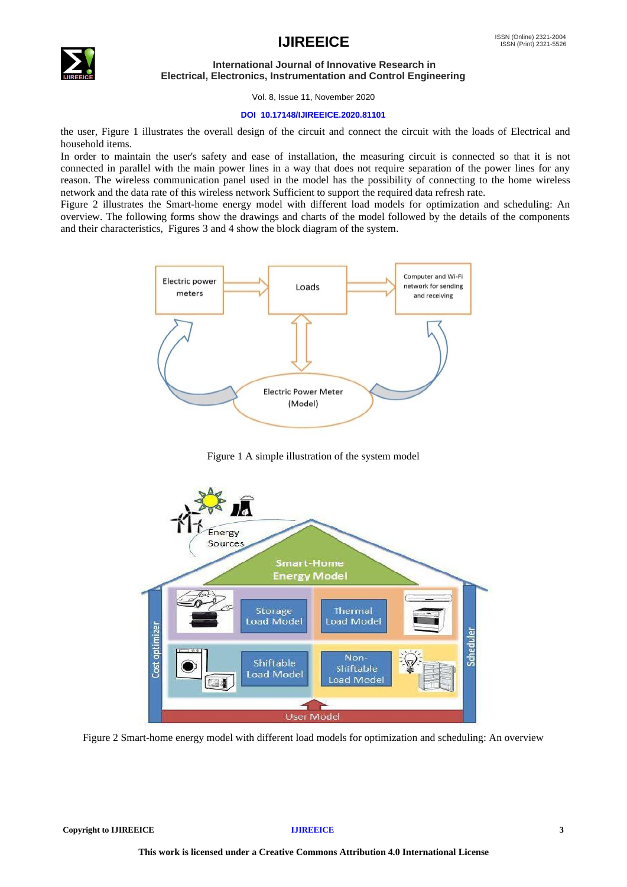

## $\text{IJIREEICE}$   $\text{ISSN (Online) }$   $\text{2321-2004}$

## **International Journal of Innovative Research in Electrical, Electronics, Instrumentation and Control Engineering**

Vol. 8, Issue 11, November 2020

## **DOI 10.17148/IJIREEICE.2020.81101**

the user, Figure 1 illustrates the overall design of the circuit and connect the circuit with the loads of Electrical and household items.

In order to maintain the user's safety and ease of installation, the measuring circuit is connected so that it is not connected in parallel with the main power lines in a way that does not require separation of the power lines for any reason. The wireless communication panel used in the model has the possibility of connecting to the home wireless network and the data rate of this wireless network Sufficient to support the required data refresh rate.

Figure 2 illustrates the Smart-home energy model with different load models for optimization and scheduling: An overview. The following forms show the drawings and charts of the model followed by the details of the components and their characteristics, Figures 3 and 4 show the block diagram of the system.



Figure 1 A simple illustration of the system model



Figure 2 Smart-home energy model with different load models for optimization and scheduling: An overview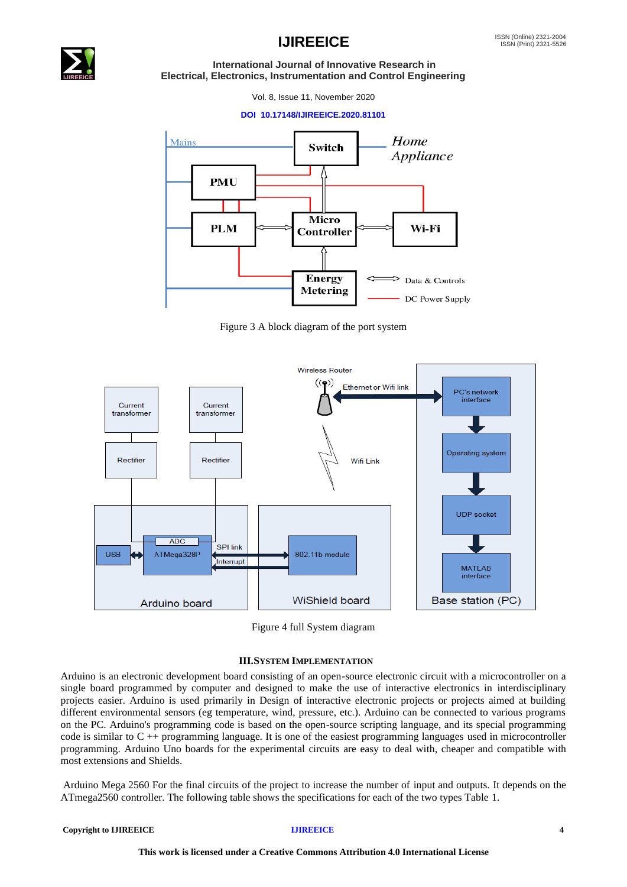

Vol. 8, Issue 11, November 2020

## **DOI 10.17148/IJIREEICE.2020.81101**



Figure 3 A block diagram of the port system



Figure 4 full System diagram

## **III.SYSTEM IMPLEMENTATION**

Arduino is an electronic development board consisting of an open-source electronic circuit with a microcontroller on a single board programmed by computer and designed to make the use of interactive electronics in interdisciplinary projects easier. Arduino is used primarily in Design of interactive electronic projects or projects aimed at building different environmental sensors (eg temperature, wind, pressure, etc.). Arduino can be connected to various programs on the PC. Arduino's programming code is based on the open-source scripting language, and its special programming code is similar to  $C ++$  programming language. It is one of the easiest programming languages used in microcontroller programming. Arduino Uno boards for the experimental circuits are easy to deal with, cheaper and compatible with most extensions and Shields.

Arduino Mega 2560 For the final circuits of the project to increase the number of input and outputs. It depends on the ATmega2560 controller. The following table shows the specifications for each of the two types Table 1.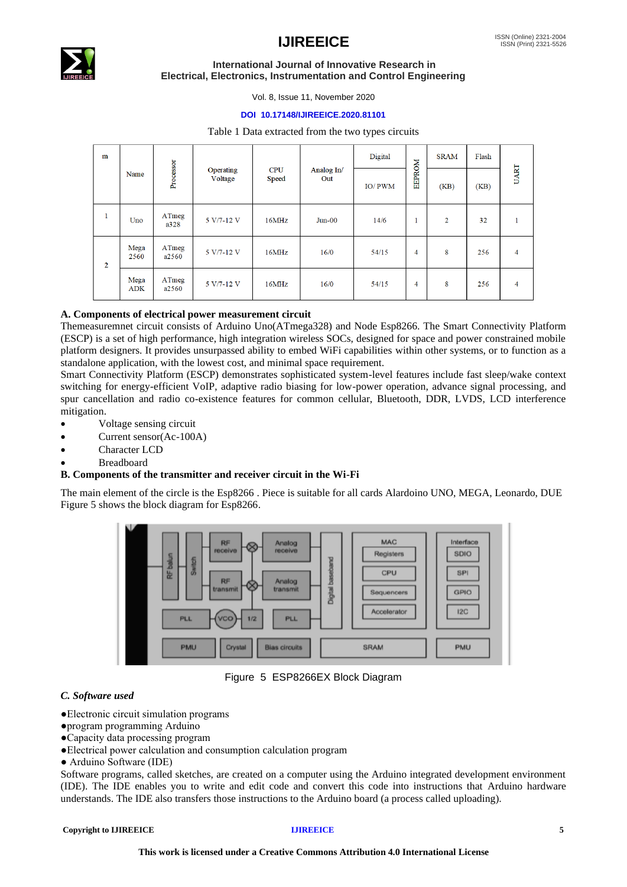

## **IJIREEICE** ISSN (Online) 2321-2004

## **International Journal of Innovative Research in Electrical, Electronics, Instrumentation and Control Engineering**

Vol. 8, Issue 11, November 2020

## **DOI 10.17148/IJIREEICE.2020.81101**

## Table 1 Data extracted from the two types circuits

| m              |                    |                |                      |                     |                   | Digital |                | <b>SRAM</b>    | Flash |                |
|----------------|--------------------|----------------|----------------------|---------------------|-------------------|---------|----------------|----------------|-------|----------------|
|                | Name               | Processor      | Operating<br>Voltage | <b>CPU</b><br>Speed | Analog In/<br>Out | IO/PWM  | <b>EEPROM</b>  | (KB)           | (KB)  | UART           |
| 1              | Uno                | ATmeg<br>a328  | 5 V/7-12 V           | 16MHz               | Jun-00            | 14/6    | 1              | $\overline{2}$ | 32    |                |
| $\overline{2}$ | Mega<br>2560       | ATmeg<br>a2560 | 5 V/7-12 V           | 16MHz               | 16/0              | 54/15   | $\overline{4}$ | 8              | 256   | $\overline{4}$ |
|                | Mega<br><b>ADK</b> | ATmeg<br>a2560 | 5 V/7-12 V           | 16MHz               | 16/0              | 54/15   | $\overline{4}$ | 8              | 256   | $\overline{4}$ |

## **A. Components of electrical power measurement circuit**

Themeasuremnet circuit consists of Arduino Uno(ATmega328) and Node Esp8266. The Smart Connectivity Platform (ESCP) is a set of high performance, high integration wireless SOCs, designed for space and power constrained mobile platform designers. It provides unsurpassed ability to embed WiFi capabilities within other systems, or to function as a standalone application, with the lowest cost, and minimal space requirement.

Smart Connectivity Platform (ESCP) demonstrates sophisticated system-level features include fast sleep/wake context switching for energy-efficient VoIP, adaptive radio biasing for low-power operation, advance signal processing, and spur cancellation and radio co-existence features for common cellular, Bluetooth, DDR, LVDS, LCD interference mitigation.

- Voltage sensing circuit
- Current sensor(Ac-100A)
- Character LCD
- **Breadboard**

## **B. Components of the transmitter and receiver circuit in the Wi-Fi**

The main element of the circle is the Esp8266 . Piece is suitable for all cards Alardoino UNO, MEGA, Leonardo, DUE Figure 5 shows the block diagram for Esp8266.



Figure 5 ESP8266EX Block Diagram

## *C. Software used*

- ●Electronic circuit simulation programs
- ●program programming Arduino
- ●Capacity data processing program
- ●Electrical power calculation and consumption calculation program
- Arduino Software (IDE)

Software programs, called sketches, are created on a computer using the Arduino integrated development environment (IDE). The IDE enables you to write and edit code and convert this code into instructions that Arduino hardware understands. The IDE also transfers those instructions to the Arduino board (a process called uploading).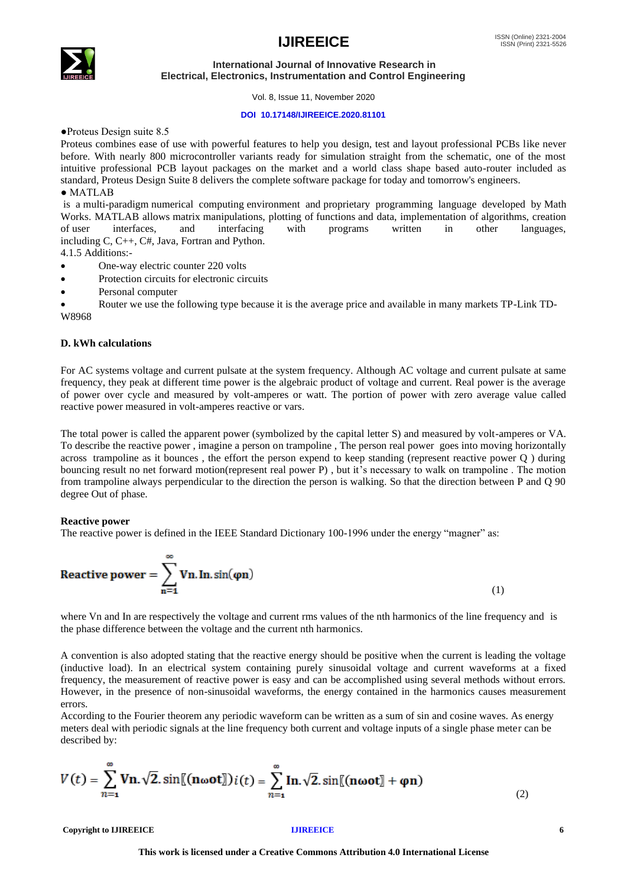## $\mathsf{IJIREEICE}$   $\blacksquare$



## **International Journal of Innovative Research in Electrical, Electronics, Instrumentation and Control Engineering**

Vol. 8, Issue 11, November 2020

## **DOI 10.17148/IJIREEICE.2020.81101**

●Proteus Design suite 8.5

Proteus combines ease of use with powerful features to help you design, test and layout professional PCBs like never before. With nearly 800 microcontroller variants ready for simulation straight from the schematic, one of the most intuitive professional PCB layout packages on the market and a world class shape based auto-router included as standard, Proteus Design Suite 8 delivers the complete software package for today and tomorrow's engineers. ● MATLAB

is a [multi-paradigm](https://en.wikipedia.org/wiki/Multi-paradigm_programming_language) [numerical computing](https://en.wikipedia.org/wiki/Numerical_analysis) environment and [proprietary programming language](https://en.wikipedia.org/wiki/Proprietary_programming_language) developed by [Math](https://en.wikipedia.org/wiki/MathWorks)  [Works.](https://en.wikipedia.org/wiki/MathWorks) MATLAB allows [matrix](https://en.wikipedia.org/wiki/Matrix_(mathematics)) manipulations, plotting of [functions](https://en.wikipedia.org/wiki/Function_(mathematics)) and data, implementation of [algorithms,](https://en.wikipedia.org/wiki/Algorithm) creation of user interfaces, and interfacing with programs written in other languages, of [user interfaces,](https://en.wikipedia.org/wiki/User_interface) and interfacing with programs written in other languages, including [C,](https://en.wikipedia.org/wiki/C_(programming_language)) [C++,](https://en.wikipedia.org/wiki/C%2B%2B) [C#,](https://en.wikipedia.org/wiki/C_Sharp_(programming_language)) [Java,](https://en.wikipedia.org/wiki/Java_(programming_language)) [Fortran](https://en.wikipedia.org/wiki/Fortran) and [Python.](https://en.wikipedia.org/wiki/Python_(programming_language))

4.1.5 Additions:-

- One-way electric counter 220 volts
- Protection circuits for electronic circuits
- Personal computer

• Router we use the following type because it is the average price and available in many markets TP-Link TD-W8968

## **D. kWh calculations**

For AC systems voltage and current pulsate at the system frequency. Although AC voltage and current pulsate at same frequency, they peak at different time power is the algebraic product of voltage and current. Real power is the average of power over cycle and measured by volt-amperes or watt. The portion of power with zero average value called reactive power measured in volt-amperes reactive or vars.

The total power is called the apparent power (symbolized by the capital letter S) and measured by volt-amperes or VA. To describe the reactive power , imagine a person on trampoline , The person real power goes into moving horizontally across trampoline as it bounces , the effort the person expend to keep standing (represent reactive power Q ) during bouncing result no net forward motion(represent real power P) , but it's necessary to walk on trampoline . The motion from trampoline always perpendicular to the direction the person is walking. So that the direction between P and Q 90 degree Out of phase.

## **Reactive power**

The reactive power is defined in the IEEE Standard Dictionary 100-1996 under the energy "magner" as:

$$
Reactive power = \sum_{n=1}^{\infty} Vn \cdot ln \cdot \sin(\varphi n)
$$
 (1)

where Vn and In are respectively the voltage and current rms values of the nth harmonics of the line frequency and is the phase difference between the voltage and the current nth harmonics.

A convention is also adopted stating that the reactive energy should be positive when the current is leading the voltage (inductive load). In an electrical system containing purely sinusoidal voltage and current waveforms at a fixed frequency, the measurement of reactive power is easy and can be accomplished using several methods without errors. However, in the presence of non-sinusoidal waveforms, the energy contained in the harmonics causes measurement errors.

According to the Fourier theorem any periodic waveform can be written as a sum of sin and cosine waves. As energy meters deal with periodic signals at the line frequency both current and voltage inputs of a single phase meter can be described by:

$$
V(t) = \sum_{n=1}^{\infty} \mathbf{V} \mathbf{n} \cdot \sqrt{2} \cdot \sin[(\mathbf{n} \omega \mathbf{o} \mathbf{t}])i(t) = \sum_{n=1}^{\infty} \mathbf{I} \mathbf{n} \cdot \sqrt{2} \cdot \sin[(\mathbf{n} \omega \mathbf{o} \mathbf{t}] + \varphi \mathbf{n})
$$
(2)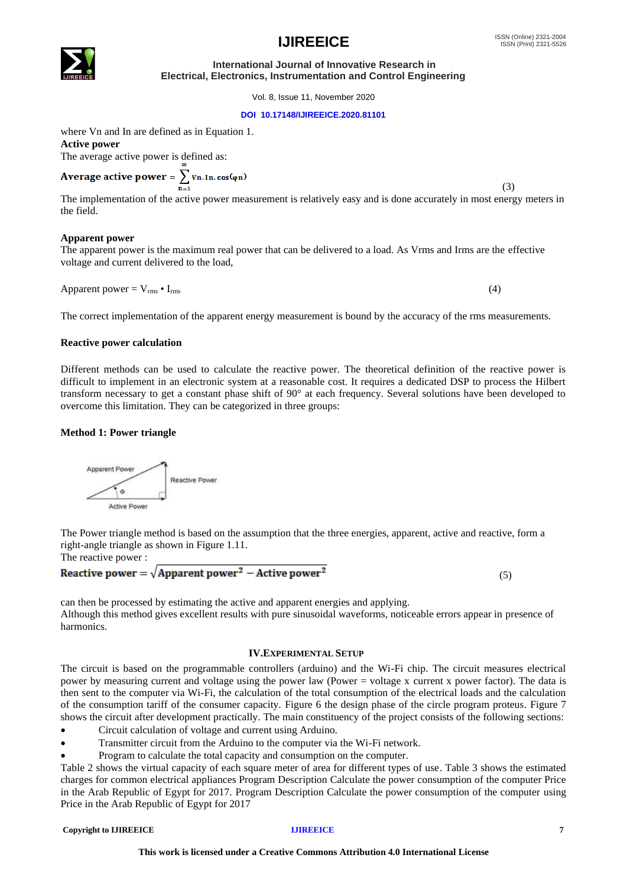## **DOI 10.17148/IJIREEICE.2020.81101**

Vol. 8, Issue 11, November 2020

where Vn and In are defined as in Equation 1. **Active power** The average active power is defined as:

Average active power =  $\sum$  Vn. In. cos ( $\varphi$ n) (3)

The implementation of the active power measurement is relatively easy and is done accurately in most energy meters in the field.

## **Apparent power**

The apparent power is the maximum real power that can be delivered to a load. As Vrms and Irms are the effective voltage and current delivered to the load,

Apparent power =  $V_{\rm rms}$  •  $I_{\rm rms}$  (4)

The correct implementation of the apparent energy measurement is bound by the accuracy of the rms measurements.

## **Reactive power calculation**

Different methods can be used to calculate the reactive power. The theoretical definition of the reactive power is difficult to implement in an electronic system at a reasonable cost. It requires a dedicated DSP to process the Hilbert transform necessary to get a constant phase shift of 90° at each frequency. Several solutions have been developed to overcome this limitation. They can be categorized in three groups:

## **Method 1: Power triangle**

 $\Phi$ 

Apparent Power

right-angle triangle as shown in Figure 1.11.

Reactive Power



The Power triangle method is based on the assumption that the three energies, apparent, active and reactive, form a

can then be processed by estimating the active and apparent energies and applying. Although this method gives excellent results with pure sinusoidal waveforms, noticeable errors appear in presence of harmonics.

## **IV.EXPERIMENTAL SETUP**

The circuit is based on the programmable controllers (arduino) and the Wi-Fi chip. The circuit measures electrical power by measuring current and voltage using the power law (Power = voltage x current x power factor). The data is then sent to the computer via Wi-Fi, the calculation of the total consumption of the electrical loads and the calculation of the consumption tariff of the consumer capacity. Figure 6 the design phase of the circle program proteus. Figure 7 shows the circuit after development practically. The main constituency of the project consists of the following sections:

- Circuit calculation of voltage and current using Arduino.
- Transmitter circuit from the Arduino to the computer via the Wi-Fi network.
- Program to calculate the total capacity and consumption on the computer.

Table 2 shows the virtual capacity of each square meter of area for different types of use. Table 3 shows the estimated charges for common electrical appliances Program Description Calculate the power consumption of the computer Price in the Arab Republic of Egypt for 2017. Program Description Calculate the power consumption of the computer using Price in the Arab Republic of Egypt for 2017

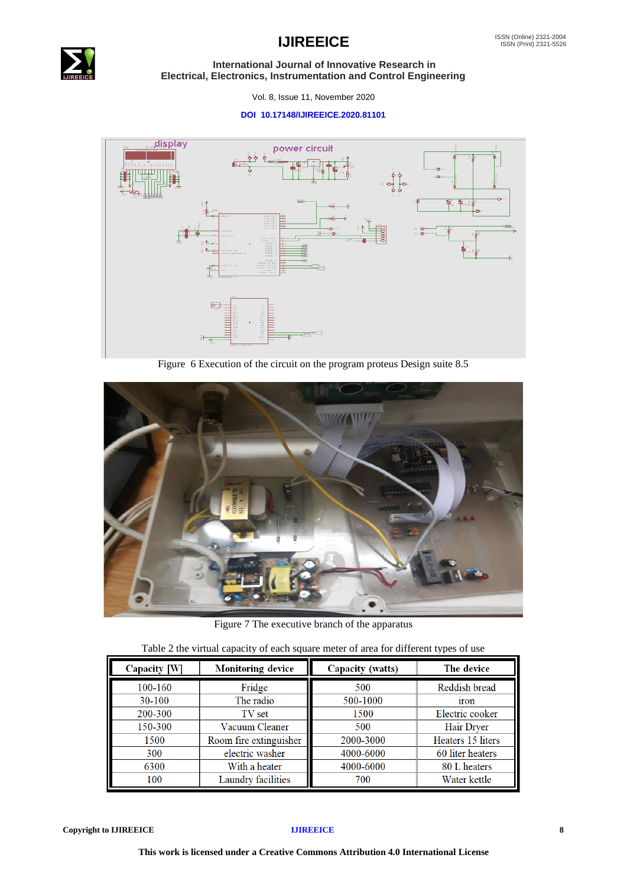

## **IJIREEICE ISSN** (Online) 2321-2004

 **International Journal of Innovative Research in Electrical, Electronics, Instrumentation and Control Engineering**

Vol. 8, Issue 11, November 2020

## **DOI 10.17148/IJIREEICE.2020.81101**



Figure 6 Execution of the circuit on the program proteus Design suite 8.5



Figure 7 The executive branch of the apparatus

|  | Table 2 the virtual capacity of each square meter of area for different types of use |  |
|--|--------------------------------------------------------------------------------------|--|
|  |                                                                                      |  |

| Capacity [W] | Monitoring device      | Capacity (watts) | The device        |
|--------------|------------------------|------------------|-------------------|
| 100-160      | Fridge                 | 500              | Reddish bread     |
| 30-100       | The radio              | 500-1000         | <b>iron</b>       |
| 200-300      | TV set                 | 1500             | Electric cooker   |
| 150-300      | Vacuum Cleaner         | 500              | Hair Dryer        |
| 1500         | Room fire extinguisher | 2000-3000        | Heaters 15 liters |
| 300          | electric washer        | 4000-6000        | 60 liter heaters  |
| 6300         | With a heater          | 4000-6000        | 80 L heaters      |
| 100          | Laundry facilities     | 700              | Water kettle      |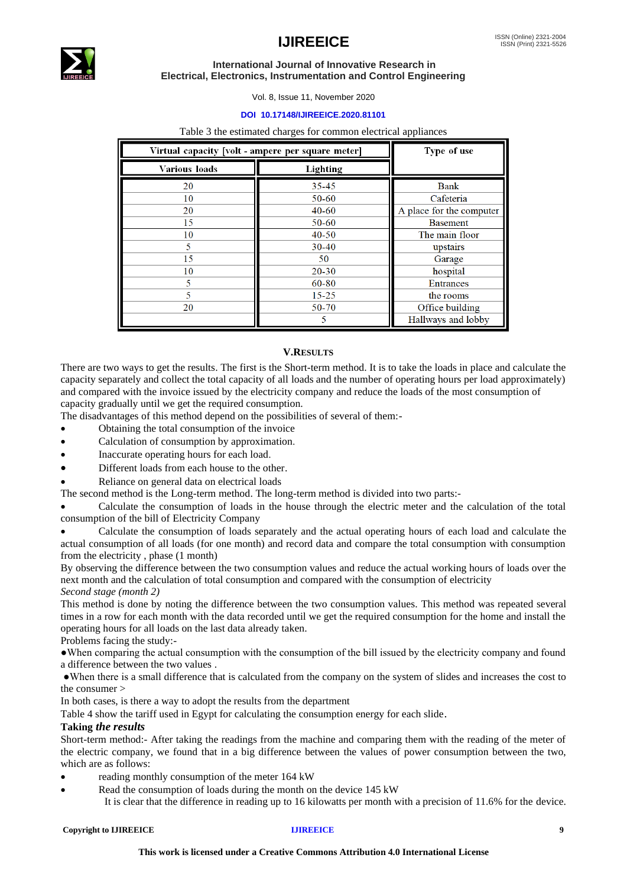

Vol. 8, Issue 11, November 2020

## **DOI 10.17148/IJIREEICE.2020.81101**

### Table 3 the estimated charges for common electrical appliances

| Virtual capacity [volt - ampere per square meter] | Type of use |                          |
|---------------------------------------------------|-------------|--------------------------|
| Various loads                                     | Lighting    |                          |
| 20                                                | $35 - 45$   | <b>Bank</b>              |
| 10                                                | 50-60       | Cafeteria                |
| 20                                                | $40 - 60$   | A place for the computer |
| 15                                                | 50-60       | <b>Basement</b>          |
| 10                                                | $40 - 50$   | The main floor           |
|                                                   | $30-40$     | upstairs                 |
| 15                                                | 50          | Garage                   |
| 10                                                | $20 - 30$   | hospital                 |
|                                                   | 60-80       | <b>Entrances</b>         |
|                                                   | $15 - 25$   | the rooms                |
| 20                                                | 50-70       | Office building          |
|                                                   |             | Hallways and lobby       |

## **V.RESULTS**

There are two ways to get the results. The first is the Short-term method. It is to take the loads in place and calculate the capacity separately and collect the total capacity of all loads and the number of operating hours per load approximately) and compared with the invoice issued by the electricity company and reduce the loads of the most consumption of capacity gradually until we get the required consumption.

The disadvantages of this method depend on the possibilities of several of them:-

- Obtaining the total consumption of the invoice
- Calculation of consumption by approximation.
- Inaccurate operating hours for each load.
- Different loads from each house to the other.
- Reliance on general data on electrical loads

The second method is the Long-term method. The long-term method is divided into two parts:-

• Calculate the consumption of loads in the house through the electric meter and the calculation of the total consumption of the bill of Electricity Company

• Calculate the consumption of loads separately and the actual operating hours of each load and calculate the actual consumption of all loads (for one month) and record data and compare the total consumption with consumption from the electricity , phase (1 month)

By observing the difference between the two consumption values and reduce the actual working hours of loads over the next month and the calculation of total consumption and compared with the consumption of electricity

*Second stage (month 2)*

This method is done by noting the difference between the two consumption values. This method was repeated several times in a row for each month with the data recorded until we get the required consumption for the home and install the operating hours for all loads on the last data already taken.

Problems facing the study:-

●When comparing the actual consumption with the consumption of the bill issued by the electricity company and found a difference between the two values .

●When there is a small difference that is calculated from the company on the system of slides and increases the cost to the consumer >

In both cases, is there a way to adopt the results from the department

Table 4 show the tariff used in Egypt for calculating the consumption energy for each slide.

## **Taking** *the results*

Short-term method:- After taking the readings from the machine and comparing them with the reading of the meter of the electric company, we found that in a big difference between the values of power consumption between the two, which are as follows:

- reading monthly consumption of the meter 164 kW
- Read the consumption of loads during the month on the device 145 kW
	- It is clear that the difference in reading up to 16 kilowatts per month with a precision of 11.6% for the device.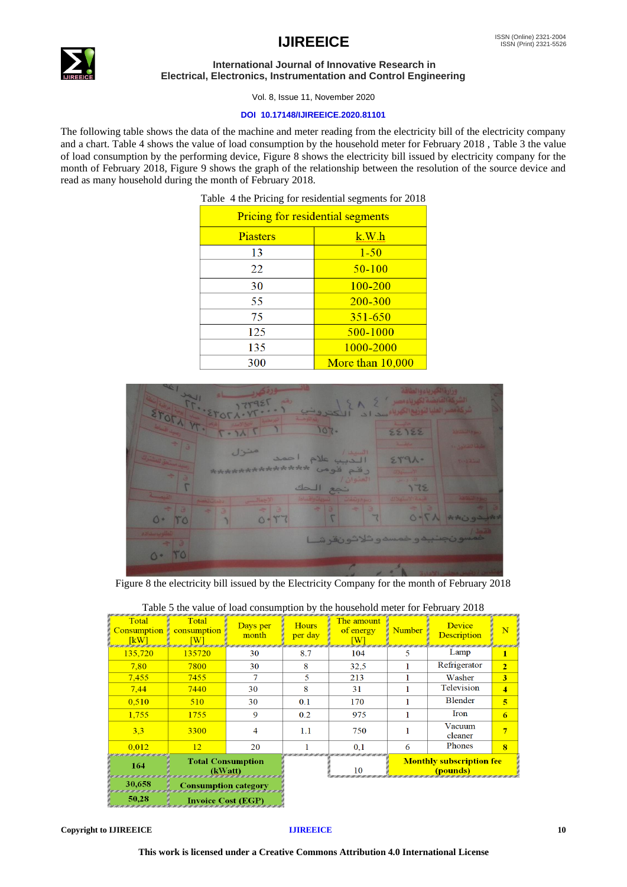

Vol. 8, Issue 11, November 2020

## **DOI 10.17148/IJIREEICE.2020.81101**

The following table shows the data of the machine and meter reading from the electricity bill of the electricity company and a chart. Table 4 shows the value of load consumption by the household meter for February 2018 , Table 3 the value of load consumption by the performing device, Figure 8 shows the electricity bill issued by electricity company for the month of February 2018, Figure 9 shows the graph of the relationship between the resolution of the source device and read as many household during the month of February 2018.

|  |  |  |  | Table 4 the Pricing for residential segments for 2018 |  |  |  |
|--|--|--|--|-------------------------------------------------------|--|--|--|
|--|--|--|--|-------------------------------------------------------|--|--|--|

| <b>Pricing for residential segments</b> |                    |  |  |  |
|-----------------------------------------|--------------------|--|--|--|
| Piasters                                | k.W.h              |  |  |  |
| 13                                      | $1 - 50$           |  |  |  |
| 22                                      | $50 - 100$         |  |  |  |
| 30                                      | $100 - 200$        |  |  |  |
| 55                                      | 200-300            |  |  |  |
| 75                                      | $351 - 650$        |  |  |  |
| 125                                     | 500-1000           |  |  |  |
| 135                                     | 1000-2000          |  |  |  |
| 300                                     | More than $10,000$ |  |  |  |



Figure 8 the electricity bill issued by the Electricity Company for the month of February 2018

| Total<br><b>Consumption</b><br>[kW]                                                                                | Total<br>consumption<br>[W] | Days per<br>month | <b>Hours</b><br>per day | The amount<br>of energy<br>W | <b>Number</b>                               | <b>Device</b><br>Description | N                       |
|--------------------------------------------------------------------------------------------------------------------|-----------------------------|-------------------|-------------------------|------------------------------|---------------------------------------------|------------------------------|-------------------------|
| 135,720                                                                                                            | 135720                      | 30                | 8.7                     | 104                          | 5                                           | Lamp                         | $\mathbf{1}$            |
| 7.80                                                                                                               | 7800                        | 30                | 8                       | 32,5                         |                                             | Refrigerator                 | $\overline{2}$          |
| 7,455                                                                                                              | 7455                        |                   | 5                       | 213                          |                                             | Washer                       | $\overline{\mathbf{3}}$ |
| 7.44                                                                                                               | 7440                        | 30                | 8                       | 31                           |                                             | Television                   | $\boldsymbol{4}$        |
| 0.510                                                                                                              | 510                         | 30                | 0.1                     | 170                          |                                             | Blender                      | $\overline{\mathbf{5}}$ |
| 1.755                                                                                                              | 1755                        | 9                 | 0.2                     | 975                          |                                             | Iron                         | 6                       |
| 3,3                                                                                                                | 3300                        | 4                 | 1.1                     | 750                          |                                             | Vacuum<br>cleaner            |                         |
| 0.012                                                                                                              | 12                          | 20                |                         | 0.1                          | 6                                           | Phones                       | $\mathbf{R}$            |
| <b>Total Consumption</b><br>164<br>(kWatt)<br>30,658<br>Consumption category<br>50,28<br><b>Invoice Cost (EGP)</b> |                             |                   | 10                      |                              | <b>Monthly subscription fee</b><br>(pounds) |                              |                         |

## Table 5 the value of load consumption by the household meter for February 2018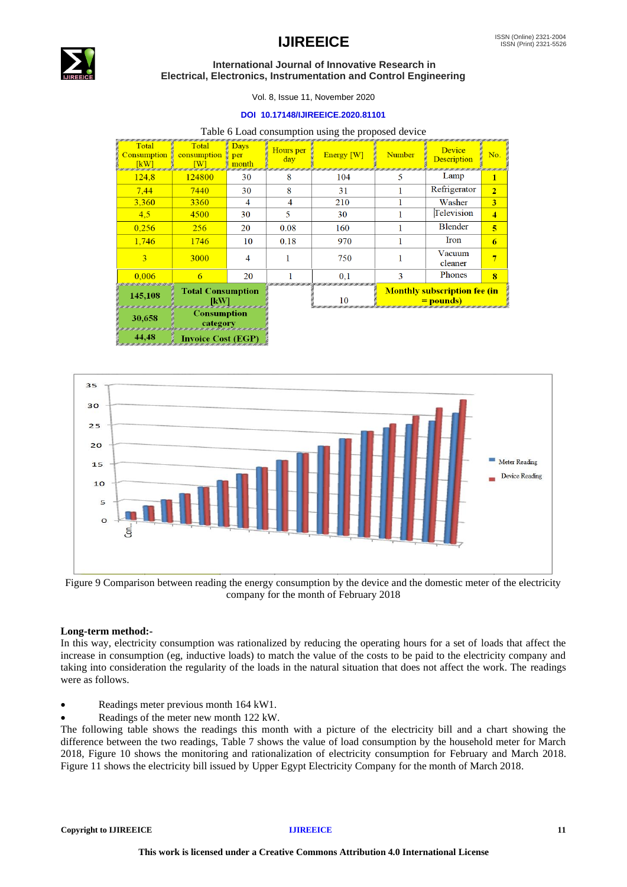

## $\mathsf{IJIREEICE}$   $\blacksquare$

## **International Journal of Innovative Research in Electrical, Electronics, Instrumentation and Control Engineering**

Vol. 8, Issue 11, November 2020

## **DOI 10.17148/IJIREEICE.2020.81101**

| Table 6 Load consumption using the proposed device |  |  |  |
|----------------------------------------------------|--|--|--|
|----------------------------------------------------|--|--|--|

| Total<br><b>Consumption</b><br>[kW] | Total<br>consumption<br>W                           | <b>Days</b><br>per<br>month | Hours per<br>day | Energy [W] | Number | <b>Device</b><br><b>Description</b>                     | No.            |
|-------------------------------------|-----------------------------------------------------|-----------------------------|------------------|------------|--------|---------------------------------------------------------|----------------|
| 124.8                               | 124800                                              | 30                          | 8                | 104        | ⊃      | Lamp                                                    | п              |
| 7.44                                | 7440                                                | 30                          | 8                | 31         |        | Refrigerator                                            | $\overline{2}$ |
| 3,360                               | 3360                                                | 4                           | 4                | 210        |        | Washer                                                  | 3              |
| 4.5                                 | 4500                                                | 30                          | 5                | 30         |        | Television                                              | 4              |
| 0.256                               | 256                                                 | 20                          | 0.08             | 160        |        | <b>Blender</b>                                          | 5              |
| 1,746                               | 1746                                                | 10                          | 0.18             | 970        |        | Iron                                                    | 6              |
| 3                                   | 3000                                                | 4                           |                  | 750        |        | Vacuum<br>cleaner                                       |                |
| 0.006                               | 6                                                   | 20                          |                  | 0.1        | 3      | Phones                                                  | $\mathbf{R}$   |
| 145,108                             | <b>Total Consumption</b><br>n <b>IkW)</b><br>amanan |                             |                  | 10         |        | <b>Monthly subscription fee (in</b><br><u>= pounds)</u> |                |
| 30,658                              | <b>Consumption</b><br>category                      |                             |                  |            |        |                                                         |                |

44,48 **Invoice Cost (EGP** 



Figure 9 Comparison between reading the energy consumption by the device and the domestic meter of the electricity company for the month of February 2018

## **Long-term method:-**

In this way, electricity consumption was rationalized by reducing the operating hours for a set of loads that affect the increase in consumption (eg, inductive loads) to match the value of the costs to be paid to the electricity company and taking into consideration the regularity of the loads in the natural situation that does not affect the work. The readings were as follows.

- Readings meter previous month 164 kW1.
- Readings of the meter new month 122 kW.

The following table shows the readings this month with a picture of the electricity bill and a chart showing the difference between the two readings, Table 7 shows the value of load consumption by the household meter for March 2018, Figure 10 shows the monitoring and rationalization of electricity consumption for February and March 2018. Figure 11 shows the electricity bill issued by Upper Egypt Electricity Company for the month of March 2018.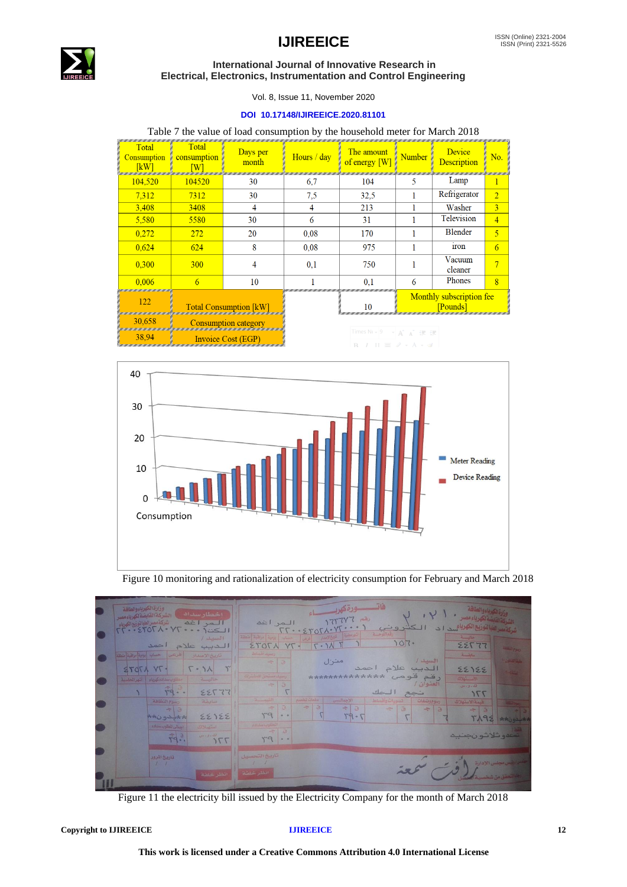



Vol. 8, Issue 11, November 2020

## **DOI 10.17148/IJIREEICE.2020.81101**

## Table 7 the value of load consumption by the household meter for March 2018

| Total<br><b>Consumption</b><br>[kW] | Total<br>consumption<br>W | Days per<br>month             | Hours / day | The amount<br>of energy $[W]$                        | Number | Device<br><b>Description</b>         | No.            |
|-------------------------------------|---------------------------|-------------------------------|-------------|------------------------------------------------------|--------|--------------------------------------|----------------|
| 104,520                             | 104520                    | 30                            | 6.7         | 104                                                  | 5      | Lamp                                 | 1              |
| 7.312                               | 7312                      | 30                            | 7,5         | 32,5                                                 |        | Refrigerator                         | $\overline{2}$ |
| 3,408                               | 3408                      | 4                             | 4           | 213                                                  |        | Washer                               | $\overline{3}$ |
| 5,580                               | 5580                      | 30                            | 6           | 31                                                   |        | Television                           | 4              |
| 0.272                               | 272                       | 20                            | 0.08        | 170                                                  |        | <b>Blender</b>                       | 5              |
| 0.624                               | 624                       | 8                             | 0.08        | 975                                                  |        | <b>iron</b>                          | 6              |
| 0.300                               | 300                       | 4                             | 0.1         | 750                                                  |        | Vacuum<br>cleaner                    | 7              |
| 0.006                               | 6                         | 10                            |             | 0.1                                                  | 6      | Phones                               | $\overline{8}$ |
| 122                                 |                           | <b>Total Consumption [kW]</b> |             | 10                                                   |        | Monthly subscription fee<br>[Pounds] |                |
| 30.658                              |                           | <b>Consumption category</b>   |             | Times $N(\sqrt{9} - \sqrt{3} + \sqrt{7} + \sqrt{7})$ |        |                                      |                |

38,94 Invoice Cost (EGP)



Figure 10 monitoring and rationalization of electricity consumption for February and March 2018

| وزارة الكهرباءوالطاقة<br>ااخطار سداد<br>أ الشركة القابضة لكهرباء مصر<br>شركة مصرالطبا لتوزيع الكهرياء<br>المراغه   | فاتسب ودة كهويسسياء<br>الشركة القايضة لكهرياء مصر .<br>175777 (B)<br>المر اغد                                                                                                                                                                                                                                                                                                                                                                                                                                                                                                                                                                                                                      | وزارة الكرياء والطاقة                 |
|--------------------------------------------------------------------------------------------------------------------|----------------------------------------------------------------------------------------------------------------------------------------------------------------------------------------------------------------------------------------------------------------------------------------------------------------------------------------------------------------------------------------------------------------------------------------------------------------------------------------------------------------------------------------------------------------------------------------------------------------------------------------------------------------------------------------------------|---------------------------------------|
| $T_{\text{r}} \cdot 2707 \cdot 1073 \cdot 1073 \cdot 17$<br>/ Lewis<br>الديب علام<br>احمد                          | شركة سرالليا تتوزيع الكهربائيين اد الكشروني<br>$IT-2YOT\lambda+YT-1$<br>التهريطية المخالاسير إلمرعى المساب إيومية إمراقية إمتعقة<br>$\frac{1}{2}$<br>107.<br>$T \cdot 11$<br>55732<br>· TY LTOTS                                                                                                                                                                                                                                                                                                                                                                                                                                                                                                   | <b>ASSESSMENT</b>                     |
| اهرعس احساب إبريبة براقبة اشتقة<br>تاريخ الإصدار<br>$\Upsilon$<br>$\wedge$<br>17078                                | Johnstown<br>mille<br>1 august<br>منزل<br>$-20$<br>الدبب علام احمد<br>22122<br>رقم قومى **********************<br>وصيف مستحق للمشتراك                                                                                                                                                                                                                                                                                                                                                                                                                                                                                                                                                              | <b>In General Color</b><br>$1 - 12.5$ |
| أشهر للحاسبة<br>مطلوب سنداده كهرياء<br>$-11-$<br>$-20 - 12$<br>22777<br>$YQ - P$<br><b>COMPARTMENT</b><br>mileston | 475 40<br>العنوان /<br>$\Rightarrow$ 3<br>لشاوءان<br>الحك<br>77f<br>تحج<br>دفعات تطميع<br>$2 - 41$<br>الإجعالس<br>السوم وتتفات<br>المسويات واهساط<br>المستهلات                                                                                                                                                                                                                                                                                                                                                                                                                                                                                                                                     |                                       |
| $\frac{1}{2}$ =<br>22122<br>**لدون**<br>اجبالى للطلوب سداده<br>استهيلات                                            | 10<br>$\frac{1}{2} \frac{1}{2} \frac{1}{2} \frac{1}{2} \frac{1}{2} \frac{1}{2} \frac{1}{2} \frac{1}{2} \frac{1}{2} \frac{1}{2} \frac{1}{2} \frac{1}{2} \frac{1}{2} \frac{1}{2} \frac{1}{2} \frac{1}{2} \frac{1}{2} \frac{1}{2} \frac{1}{2} \frac{1}{2} \frac{1}{2} \frac{1}{2} \frac{1}{2} \frac{1}{2} \frac{1}{2} \frac{1}{2} \frac{1}{2} \frac{1}{2} \frac{1}{2} \frac{1}{2} \frac{1}{2} \frac{$<br>$\Rightarrow$ $\Box$<br>$\Rightarrow$ a<br>$\overline{B}$<br>$\div$ 3<br>$\frac{1}{2} \sum_{i=1}^{n} \frac{1}{2} \left( \frac{1}{2} \sum_{i=1}^{n} \frac{1}{2} \right)$<br>$-5$<br>ra<br>T9.5<br>$\frac{1}{2} \frac{d\mathbf{r}}{dt} = \frac{1}{2} \frac{d\mathbf{r}}{dt}$<br>المللوب سندادي | TA98 *** UNA                          |
| $\vec{r}_{9}$ .<br>للدرورس<br>155                                                                                  | $-10$<br>$r - r$                                                                                                                                                                                                                                                                                                                                                                                                                                                                                                                                                                                                                                                                                   | تسممه شلاشون جنيم                     |
| تاريخ المرور<br>انظر خلفة                                                                                          | تاريخ التحصيل<br>انظر خلفة                                                                                                                                                                                                                                                                                                                                                                                                                                                                                                                                                                                                                                                                         | مس ارشی مجلس الإدارة                  |

Figure 11 the electricity bill issued by the Electricity Company for the month of March 2018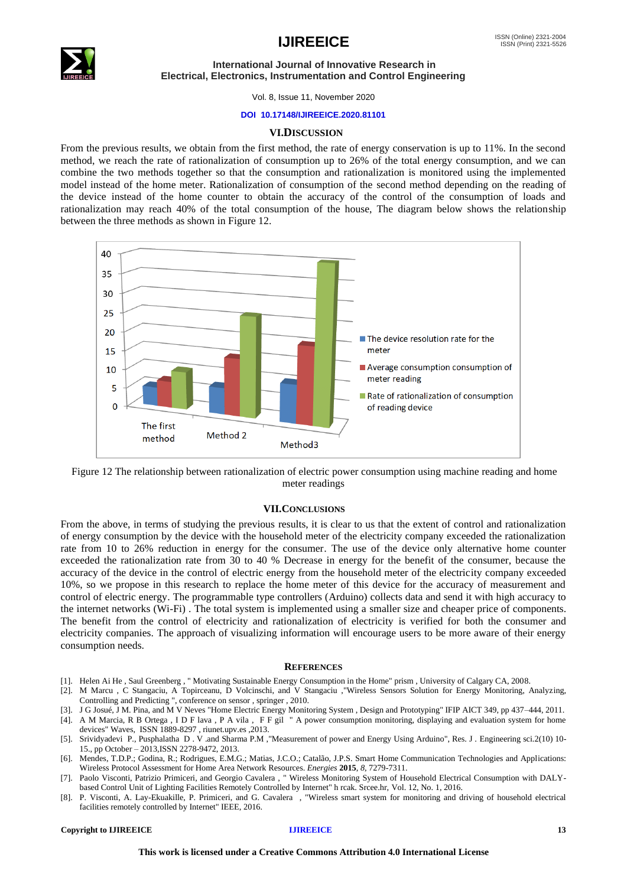



Vol. 8, Issue 11, November 2020

### **DOI 10.17148/IJIREEICE.2020.81101**

## **VI.DISCUSSION**

From the previous results, we obtain from the first method, the rate of energy conservation is up to 11%. In the second method, we reach the rate of rationalization of consumption up to 26% of the total energy consumption, and we can combine the two methods together so that the consumption and rationalization is monitored using the implemented model instead of the home meter. Rationalization of consumption of the second method depending on the reading of the device instead of the home counter to obtain the accuracy of the control of the consumption of loads and rationalization may reach 40% of the total consumption of the house, The diagram below shows the relationship between the three methods as shown in Figure 12.



Figure 12 The relationship between rationalization of electric power consumption using machine reading and home meter readings

## **VII.CONCLUSIONS**

From the above, in terms of studying the previous results, it is clear to us that the extent of control and rationalization of energy consumption by the device with the household meter of the electricity company exceeded the rationalization rate from 10 to 26% reduction in energy for the consumer. The use of the device only alternative home counter exceeded the rationalization rate from 30 to 40 % Decrease in energy for the benefit of the consumer, because the accuracy of the device in the control of electric energy from the household meter of the electricity company exceeded 10%, so we propose in this research to replace the home meter of this device for the accuracy of measurement and control of electric energy. The programmable type controllers (Arduino) collects data and send it with high accuracy to the internet networks (Wi-Fi) . The total system is implemented using a smaller size and cheaper price of components. The benefit from the control of electricity and rationalization of electricity is verified for both the consumer and electricity companies. The approach of visualizing information will encourage users to be more aware of their energy consumption needs.

### **REFERENCES**

- [1]. Helen Ai He , Saul Greenberg , " Motivating Sustainable Energy Consumption in the Home" prism , University of Calgary CA, 2008.
- [2]. M Marcu , C Stangaciu, A Topirceanu, D Volcinschi, and V Stangaciu ,"Wireless Sensors Solution for Energy Monitoring, Analyzing, Controlling and Predicting ", conference on sensor , springer , 2010.
- [3]. J G Josué, J M. Pina, and M V Neves "Home Electric Energy Monitoring System , Design and Prototyping" IFIP AICT 349, pp 437–444, 2011.
- [4]. A M Marcia, R B Ortega , I D F lava , P A vila , F F gil " A power consumption monitoring, displaying and evaluation system for home devices" Waves, ISSN 1889-8297 , riunet.upv.es ,2013.
- [5]. Srividyadevi P., Pusphalatha D . V .and Sharma P.M ,"Measurement of power and Energy Using Arduino", Res. J . Engineering sci.2(10) 10- 15., pp October – 2013,ISSN 2278-9472, 2013.
- [6]. Mendes, T.D.P.; Godina, R.; Rodrigues, E.M.G.; Matias, J.C.O.; Catalão, J.P.S. Smart Home Communication Technologies and Applications: Wireless Protocol Assessment for Home Area Network Resources. *Energies* **2015**, *8*, 7279-7311.
- [7]. Paolo Visconti, Patrizio Primiceri, and Georgio Cavalera , " Wireless Monitoring System of Household Electrical Consumption with DALYbased Control Unit of Lighting Facilities Remotely Controlled by Internet" h rcak. Srcee.hr, Vol. 12, No. 1, 2016.
- [8]. P. Visconti, A. Lay-Ekuakille, P. Primiceri, and G. Cavalera , "Wireless smart system for monitoring and driving of household electrical facilities remotely controlled by Internet" IEEE, 2016.